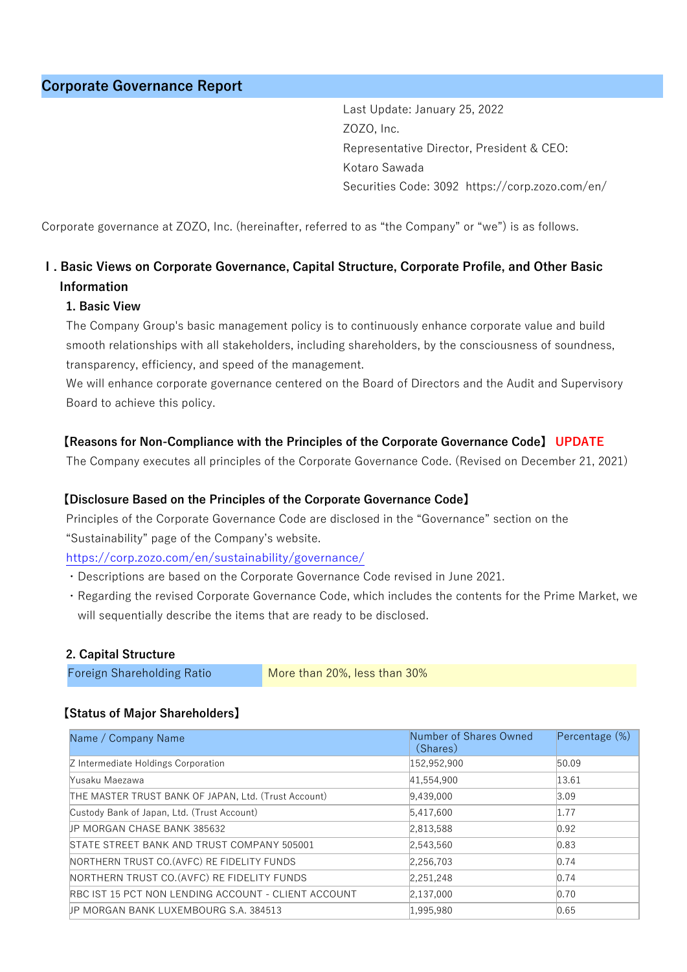Last Update: January 25, 2022 ZOZO, Inc. Representative Director, President & CEO: Kotaro Sawada Securities Code: 3092 https://corp.zozo.com/en/

Corporate governance at ZOZO, Inc. (hereinafter, referred to as "the Company" or "we") is as follows.

# **Ⅰ. Basic Views on Corporate Governance, Capital Structure, Corporate Profile, and Other Basic Information**

#### **1. Basic View**

The Company Group's basic management policy is to continuously enhance corporate value and build smooth relationships with all stakeholders, including shareholders, by the consciousness of soundness, transparency, efficiency, and speed of the management.

We will enhance corporate governance centered on the Board of Directors and the Audit and Supervisory Board to achieve this policy.

## **【Reasons for Non-Compliance with the Principles of the Corporate Governance Code】 UPDATE**

The Company executes all principles of the Corporate Governance Code. (Revised on December 21, 2021)

#### **【Disclosure Based on the Principles of the Corporate Governance Code】**

Principles of the Corporate Governance Code are disclosed in the "Governance" section on the "Sustainability" page of the Company's website.

https://corp.zozo.com/en/sustainability/governance/

- ・Descriptions are based on the Corporate Governance Code revised in June 2021.
- ・Regarding the revised Corporate Governance Code, which includes the contents for the Prime Market, we will sequentially describe the items that are ready to be disclosed.

#### **2. Capital Structure**

#### **【Status of Major Shareholders】**

| Name / Company Name                                  | Number of Shares Owned<br>(Shares) | Percentage (%) |
|------------------------------------------------------|------------------------------------|----------------|
| Z Intermediate Holdings Corporation                  | 152,952,900                        | 50.09          |
| Yusaku Maezawa                                       | 41,554,900                         | 13.61          |
| THE MASTER TRUST BANK OF JAPAN, Ltd. (Trust Account) | 9,439,000                          | 3.09           |
| Custody Bank of Japan, Ltd. (Trust Account)          | 5.417.600                          | 1.77           |
| <b>JP MORGAN CHASE BANK 385632</b>                   | 2,813,588                          | 0.92           |
| STATE STREET BANK AND TRUST COMPANY 505001           | 2,543,560                          | 0.83           |
| NORTHERN TRUST CO. (AVFC) RE FIDELITY FUNDS          | 2,256,703                          | 0.74           |
| NORTHERN TRUST CO. (AVFC) RE FIDELITY FUNDS          | 2.251.248                          | 0.74           |
| RBC IST 15 PCT NON LENDING ACCOUNT - CLIENT ACCOUNT  | 2,137,000                          | 0.70           |
| <b>JP MORGAN BANK LUXEMBOURG S.A. 384513</b>         | 1.995.980                          | 0.65           |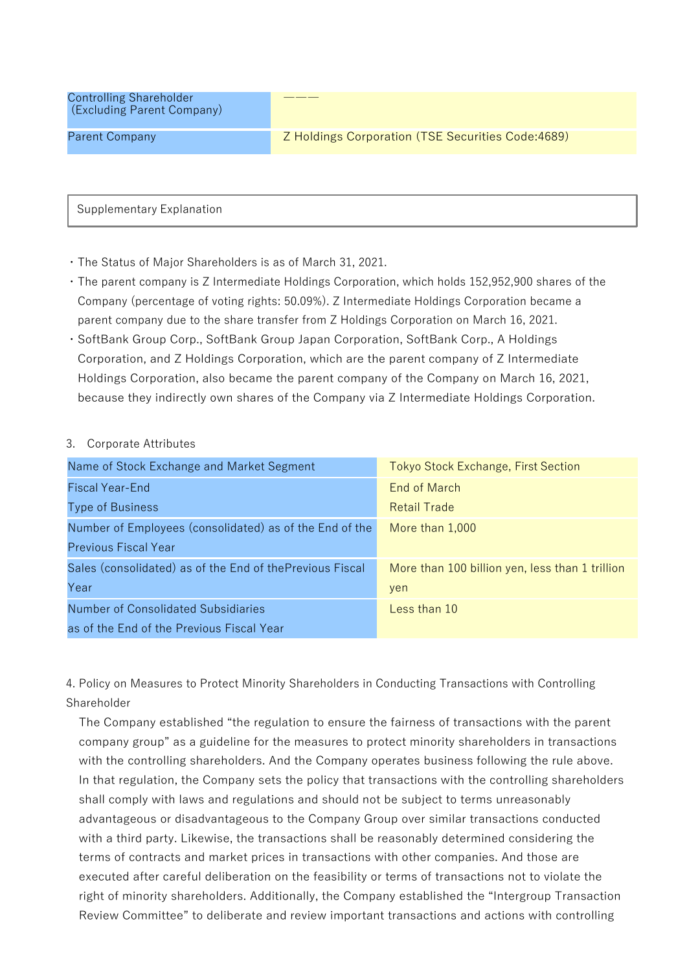Controlling Shareholder (Excluding Parent Company)

Supplementary Explanation

・The Status of Major Shareholders is as of March 31, 2021.

・The parent company is Z Intermediate Holdings Corporation, which holds 152,952,900 shares of the Company (percentage of voting rights: 50.09%). Z Intermediate Holdings Corporation became a parent company due to the share transfer from Z Holdings Corporation on March 16, 2021.

―――

・SoftBank Group Corp., SoftBank Group Japan Corporation, SoftBank Corp., A Holdings Corporation, and Z Holdings Corporation, which are the parent company of Z Intermediate Holdings Corporation, also became the parent company of the Company on March 16, 2021, because they indirectly own shares of the Company via Z Intermediate Holdings Corporation.

#### 3. Corporate Attributes

| Name of Stock Exchange and Market Segment                | <b>Tokyo Stock Exchange, First Section</b>      |
|----------------------------------------------------------|-------------------------------------------------|
| <b>Fiscal Year-End</b>                                   | End of March                                    |
| <b>Type of Business</b>                                  | <b>Retail Trade</b>                             |
| Number of Employees (consolidated) as of the End of the  | More than 1,000                                 |
| <b>Previous Fiscal Year</b>                              |                                                 |
| Sales (consolidated) as of the End of thePrevious Fiscal | More than 100 billion yen, less than 1 trillion |
| Year                                                     | yen                                             |
| <b>Number of Consolidated Subsidiaries</b>               | Less than 10                                    |
| as of the End of the Previous Fiscal Year                |                                                 |

4. Policy on Measures to Protect Minority Shareholders in Conducting Transactions with Controlling Shareholder

The Company established "the regulation to ensure the fairness of transactions with the parent company group" as a guideline for the measures to protect minority shareholders in transactions with the controlling shareholders. And the Company operates business following the rule above. In that regulation, the Company sets the policy that transactions with the controlling shareholders shall comply with laws and regulations and should not be subject to terms unreasonably advantageous or disadvantageous to the Company Group over similar transactions conducted with a third party. Likewise, the transactions shall be reasonably determined considering the terms of contracts and market prices in transactions with other companies. And those are executed after careful deliberation on the feasibility or terms of transactions not to violate the right of minority shareholders. Additionally, the Company established the "Intergroup Transaction Review Committee" to deliberate and review important transactions and actions with controlling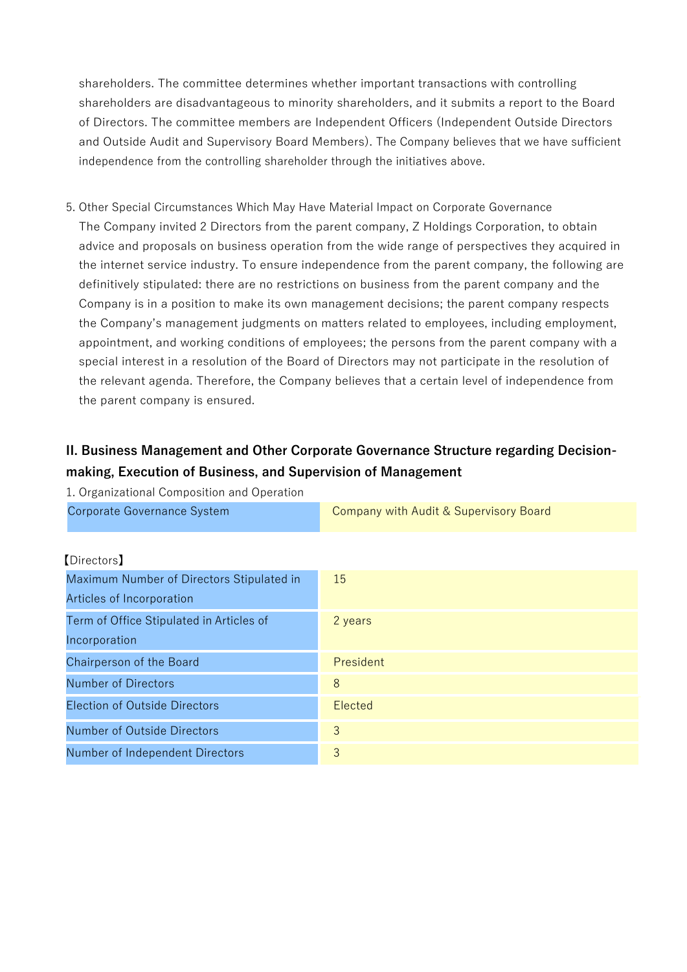shareholders. The committee determines whether important transactions with controlling shareholders are disadvantageous to minority shareholders, and it submits a report to the Board of Directors. The committee members are Independent Officers (Independent Outside Directors and Outside Audit and Supervisory Board Members). The Company believes that we have sufficient independence from the controlling shareholder through the initiatives above.

5. Other Special Circumstances Which May Have Material Impact on Corporate Governance The Company invited 2 Directors from the parent company, Z Holdings Corporation, to obtain advice and proposals on business operation from the wide range of perspectives they acquired in the internet service industry. To ensure independence from the parent company, the following are definitively stipulated: there are no restrictions on business from the parent company and the Company is in a position to make its own management decisions; the parent company respects the Company's management judgments on matters related to employees, including employment, appointment, and working conditions of employees; the persons from the parent company with a special interest in a resolution of the Board of Directors may not participate in the resolution of the relevant agenda. Therefore, the Company believes that a certain level of independence from the parent company is ensured.

# **II. Business Management and Other Corporate Governance Structure regarding Decisionmaking, Execution of Business, and Supervision of Management**

| 1. Organizational Composition and Operation |                                        |
|---------------------------------------------|----------------------------------------|
| Corporate Governance System                 | Company with Audit & Supervisory Board |
|                                             |                                        |
| [Directors]                                 |                                        |
| Maximum Number of Directors Stipulated in   | 15                                     |
| Articles of Incorporation                   |                                        |
| Term of Office Stipulated in Articles of    | 2 years                                |
| Incorporation                               |                                        |
| Chairperson of the Board                    | President                              |
| Number of Directors                         | 8                                      |
| <b>Election of Outside Directors</b>        | Elected                                |
| <b>Number of Outside Directors</b>          | 3                                      |
| Number of Independent Directors             | 3                                      |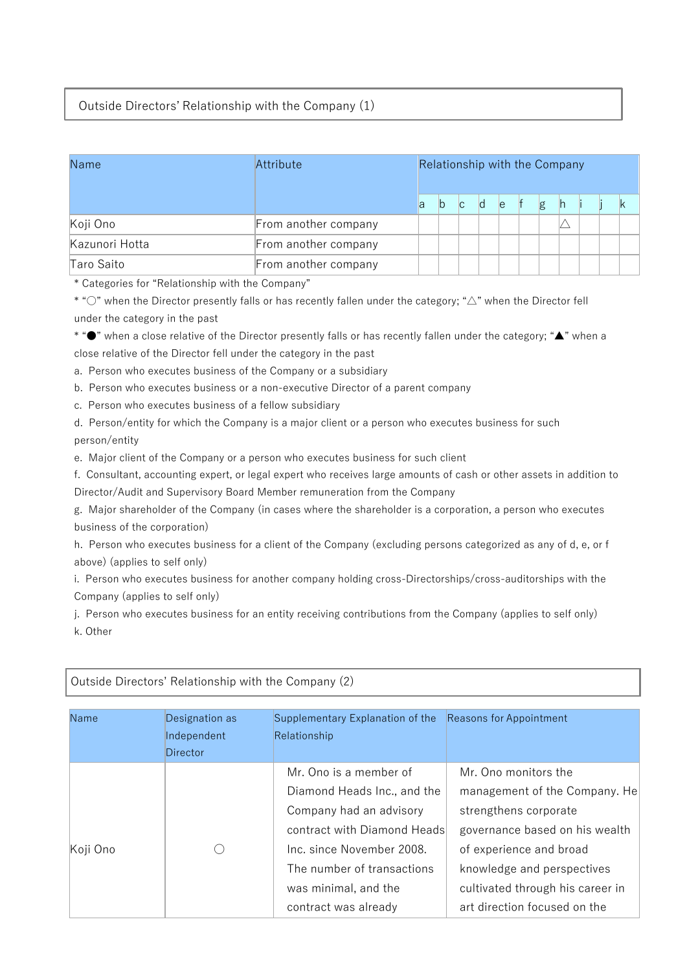## Outside Directors' Relationship with the Company (1)

| Name           | Relationship with the Company<br>Attribute |    |     |    |    |  |   |   |  |  |  |
|----------------|--------------------------------------------|----|-----|----|----|--|---|---|--|--|--|
|                |                                            | la | IC. | ld | le |  | g | h |  |  |  |
| Koji Ono       | From another company                       |    |     |    |    |  |   |   |  |  |  |
| Kazunori Hotta | From another company                       |    |     |    |    |  |   |   |  |  |  |
| Taro Saito     | From another company                       |    |     |    |    |  |   |   |  |  |  |

\* Categories for "Relationship with the Company"

\* "○" when the Director presently falls or has recently fallen under the category; "△" when the Director fell under the category in the past

\* "●" when a close relative of the Director presently falls or has recently fallen under the category; "▲" when a close relative of the Director fell under the category in the past

a. Person who executes business of the Company or a subsidiary

b. Person who executes business or a non-executive Director of a parent company

c. Person who executes business of a fellow subsidiary

d. Person/entity for which the Company is a major client or a person who executes business for such person/entity

e. Major client of the Company or a person who executes business for such client

f. Consultant, accounting expert, or legal expert who receives large amounts of cash or other assets in addition to Director/Audit and Supervisory Board Member remuneration from the Company

g. Major shareholder of the Company (in cases where the shareholder is a corporation, a person who executes business of the corporation)

h. Person who executes business for a client of the Company (excluding persons categorized as any of d, e, or f above) (applies to self only)

i. Person who executes business for another company holding cross-Directorships/cross-auditorships with the Company (applies to self only)

j. Person who executes business for an entity receiving contributions from the Company (applies to self only) k. Other

| Name     | Designation as<br>Independent<br>Director | Supplementary Explanation of the<br>Relationship | <b>Reasons for Appointment</b>   |
|----------|-------------------------------------------|--------------------------------------------------|----------------------------------|
|          |                                           | Mr. Ono is a member of                           | Mr. Ono monitors the             |
|          |                                           | Diamond Heads Inc., and the                      | management of the Company. He    |
|          |                                           | Company had an advisory                          | strengthens corporate            |
|          |                                           | contract with Diamond Heads                      | governance based on his wealth   |
| Koji Ono |                                           | Inc. since November 2008.                        | of experience and broad          |
|          |                                           | The number of transactions                       | knowledge and perspectives       |
|          |                                           | was minimal, and the                             | cultivated through his career in |
|          |                                           | contract was already                             | art direction focused on the     |

#### Outside Directors' Relationship with the Company (2)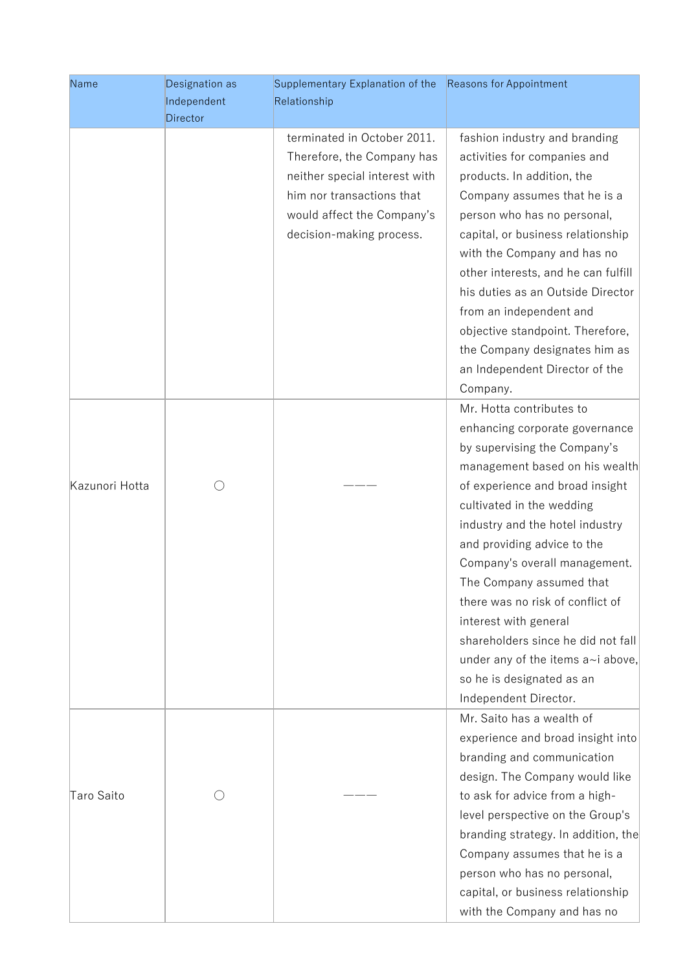| Name           | Designation as  | Supplementary Explanation of the | <b>Reasons for Appointment</b>      |
|----------------|-----------------|----------------------------------|-------------------------------------|
|                | Independent     | Relationship                     |                                     |
|                | <b>Director</b> |                                  |                                     |
|                |                 | terminated in October 2011.      | fashion industry and branding       |
|                |                 | Therefore, the Company has       | activities for companies and        |
|                |                 | neither special interest with    | products. In addition, the          |
|                |                 | him nor transactions that        | Company assumes that he is a        |
|                |                 | would affect the Company's       | person who has no personal,         |
|                |                 | decision-making process.         | capital, or business relationship   |
|                |                 |                                  | with the Company and has no         |
|                |                 |                                  | other interests, and he can fulfill |
|                |                 |                                  | his duties as an Outside Director   |
|                |                 |                                  | from an independent and             |
|                |                 |                                  | objective standpoint. Therefore,    |
|                |                 |                                  | the Company designates him as       |
|                |                 |                                  | an Independent Director of the      |
|                |                 |                                  | Company.                            |
|                |                 |                                  | Mr. Hotta contributes to            |
|                |                 |                                  | enhancing corporate governance      |
|                |                 |                                  | by supervising the Company's        |
|                |                 |                                  | management based on his wealth      |
| Kazunori Hotta |                 |                                  | of experience and broad insight     |
|                |                 |                                  | cultivated in the wedding           |
|                |                 |                                  | industry and the hotel industry     |
|                |                 |                                  | and providing advice to the         |
|                |                 |                                  | Company's overall management.       |
|                |                 |                                  | The Company assumed that            |
|                |                 |                                  | there was no risk of conflict of    |
|                |                 |                                  | interest with general               |
|                |                 |                                  | shareholders since he did not fall  |
|                |                 |                                  | under any of the items a~i above,   |
|                |                 |                                  | so he is designated as an           |
|                |                 |                                  | Independent Director.               |
|                |                 |                                  | Mr. Saito has a wealth of           |
|                |                 |                                  | experience and broad insight into   |
|                |                 |                                  | branding and communication          |
|                |                 |                                  | design. The Company would like      |
| Taro Saito     |                 |                                  | to ask for advice from a high-      |
|                |                 |                                  | level perspective on the Group's    |
|                |                 |                                  | branding strategy. In addition, the |
|                |                 |                                  | Company assumes that he is a        |
|                |                 |                                  | person who has no personal,         |
|                |                 |                                  | capital, or business relationship   |
|                |                 |                                  | with the Company and has no         |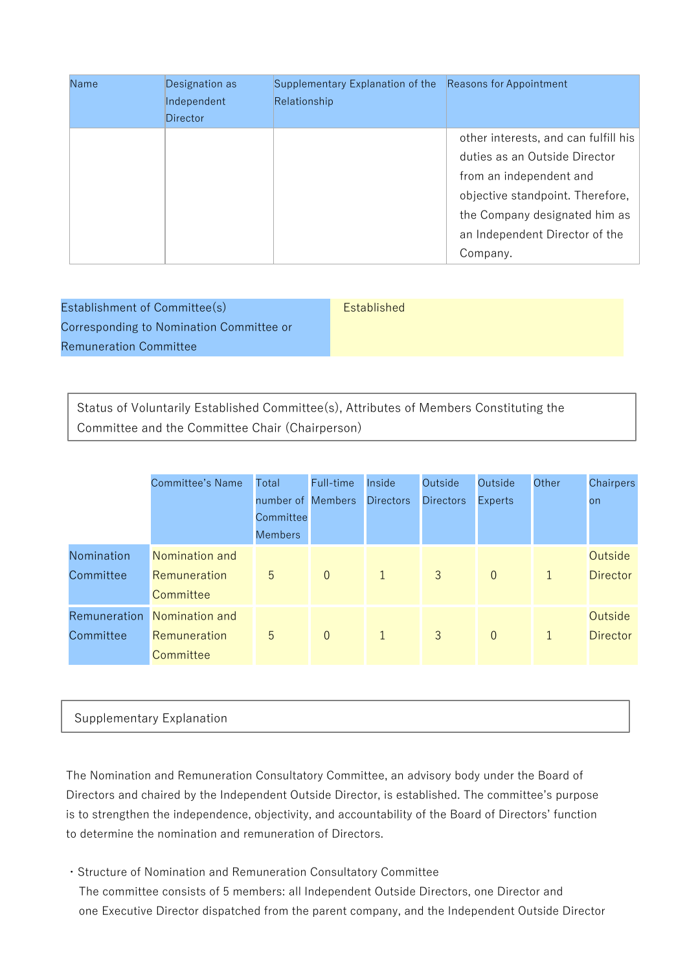| Name | Designation as | Supplementary Explanation of the | Reasons for Appointment              |
|------|----------------|----------------------------------|--------------------------------------|
|      | Independent    | Relationship                     |                                      |
|      | Director       |                                  |                                      |
|      |                |                                  | other interests, and can fulfill his |
|      |                |                                  | duties as an Outside Director        |
|      |                |                                  | from an independent and              |
|      |                |                                  | objective standpoint. Therefore,     |
|      |                |                                  | the Company designated him as        |
|      |                |                                  | an Independent Director of the       |
|      |                |                                  | Company.                             |

| Establishment of Committee(s)            | <b>Established</b> |
|------------------------------------------|--------------------|
| Corresponding to Nomination Committee or |                    |
| <b>Remuneration Committee</b>            |                    |

Status of Voluntarily Established Committee(s), Attributes of Members Constituting the Committee and the Committee Chair (Chairperson)

|              | <b>Committee's Name</b> | Total                          | Full-time      | Inside           | Outside          | Outside        | Other        | Chairpers       |
|--------------|-------------------------|--------------------------------|----------------|------------------|------------------|----------------|--------------|-----------------|
|              |                         | number of Members<br>Committee |                | <b>Directors</b> | <b>Directors</b> | <b>Experts</b> |              | on              |
|              |                         | <b>Members</b>                 |                |                  |                  |                |              |                 |
| Nomination   | Nomination and          |                                |                |                  |                  |                |              | Outside         |
| Committee    | Remuneration            | 5                              | $\overline{0}$ | $\mathbf{1}$     | 3                | $\overline{0}$ | $\mathbf{1}$ | <b>Director</b> |
|              | Committee               |                                |                |                  |                  |                |              |                 |
| Remuneration | Nomination and          |                                |                |                  |                  |                |              | Outside         |
| Committee    | Remuneration            | 5                              | $\overline{0}$ | $\mathbf{1}$     | $\overline{3}$   | $\overline{0}$ | $\mathbf{1}$ | <b>Director</b> |
|              | Committee               |                                |                |                  |                  |                |              |                 |

#### Supplementary Explanation

The Nomination and Remuneration Consultatory Committee, an advisory body under the Board of Directors and chaired by the Independent Outside Director, is established. The committee's purpose is to strengthen the independence, objectivity, and accountability of the Board of Directors' function to determine the nomination and remuneration of Directors.

・Structure of Nomination and Remuneration Consultatory Committee The committee consists of 5 members: all Independent Outside Directors, one Director and one Executive Director dispatched from the parent company, and the Independent Outside Director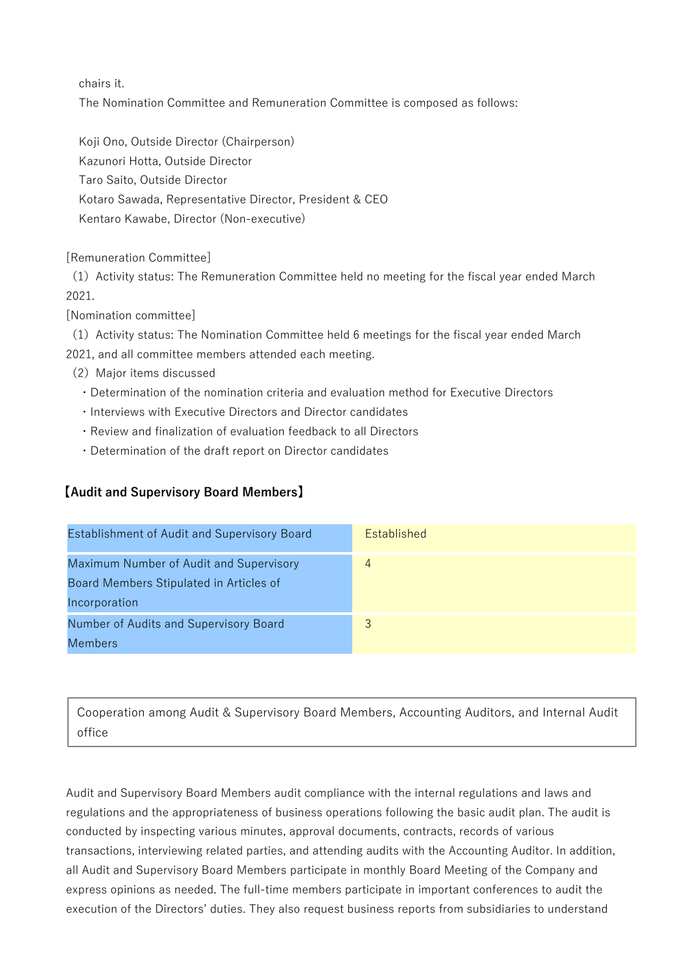chairs it.

The Nomination Committee and Remuneration Committee is composed as follows:

Koji Ono, Outside Director (Chairperson) Kazunori Hotta, Outside Director Taro Saito, Outside Director Kotaro Sawada, Representative Director, President & CEO Kentaro Kawabe, Director (Non-executive)

[Remuneration Committee]

(1)Activity status: The Remuneration Committee held no meeting for the fiscal year ended March 2021.

[Nomination committee]

(1)Activity status: The Nomination Committee held 6 meetings for the fiscal year ended March 2021, and all committee members attended each meeting.

- (2) Major items discussed
	- ・Determination of the nomination criteria and evaluation method for Executive Directors
	- ・Interviews with Executive Directors and Director candidates
	- ・Review and finalization of evaluation feedback to all Directors
	- ・Determination of the draft report on Director candidates

## 【**Audit and Supervisory Board Members**】

| <b>Establishment of Audit and Supervisory Board</b>                                | <b>Established</b> |
|------------------------------------------------------------------------------------|--------------------|
| Maximum Number of Audit and Supervisory<br>Board Members Stipulated in Articles of |                    |
| Incorporation                                                                      |                    |
| Number of Audits and Supervisory Board                                             | 3                  |
| <b>Members</b>                                                                     |                    |

Cooperation among Audit & Supervisory Board Members, Accounting Auditors, and Internal Audit office

Audit and Supervisory Board Members audit compliance with the internal regulations and laws and regulations and the appropriateness of business operations following the basic audit plan. The audit is conducted by inspecting various minutes, approval documents, contracts, records of various transactions, interviewing related parties, and attending audits with the Accounting Auditor. In addition, all Audit and Supervisory Board Members participate in monthly Board Meeting of the Company and express opinions as needed. The full-time members participate in important conferences to audit the execution of the Directors' duties. They also request business reports from subsidiaries to understand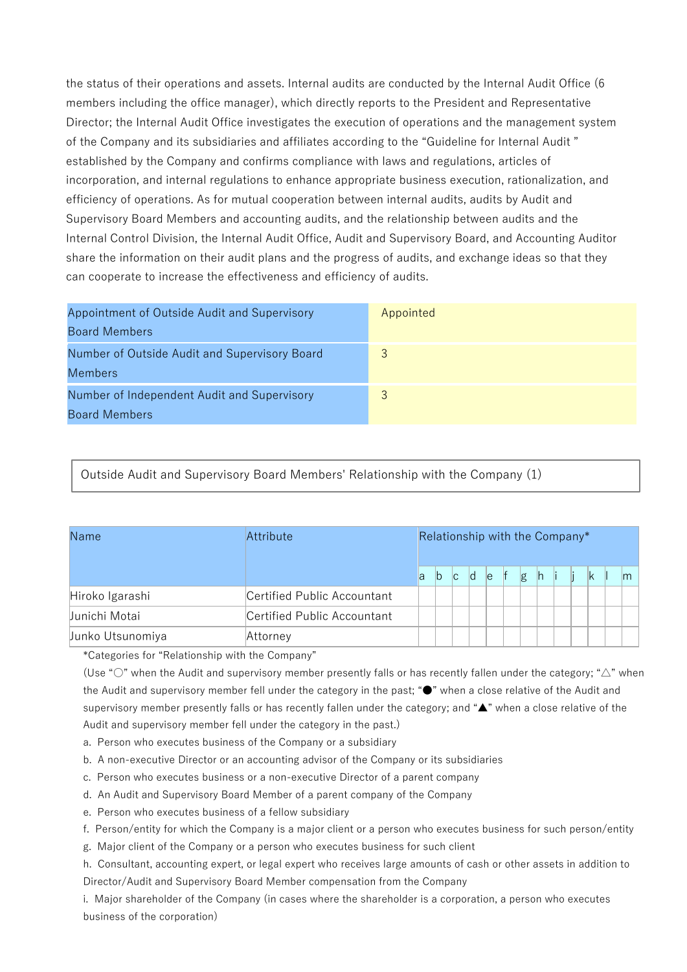the status of their operations and assets. Internal audits are conducted by the Internal Audit Office (6 members including the office manager), which directly reports to the President and Representative Director; the Internal Audit Office investigates the execution of operations and the management system of the Company and its subsidiaries and affiliates according to the "Guideline for Internal Audit " established by the Company and confirms compliance with laws and regulations, articles of incorporation, and internal regulations to enhance appropriate business execution, rationalization, and efficiency of operations. As for mutual cooperation between internal audits, audits by Audit and Supervisory Board Members and accounting audits, and the relationship between audits and the Internal Control Division, the Internal Audit Office, Audit and Supervisory Board, and Accounting Auditor share the information on their audit plans and the progress of audits, and exchange ideas so that they can cooperate to increase the effectiveness and efficiency of audits.

| Appointment of Outside Audit and Supervisory<br><b>Board Members</b> | Appointed |
|----------------------------------------------------------------------|-----------|
| Number of Outside Audit and Supervisory Board<br>Members             |           |
| Number of Independent Audit and Supervisory<br><b>Board Members</b>  |           |

Outside Audit and Supervisory Board Members' Relationship with the Company (1)

| Name             | Attribute                   | Relationship with the Company* |    |   |     |   |   |   |     |              |               |
|------------------|-----------------------------|--------------------------------|----|---|-----|---|---|---|-----|--------------|---------------|
|                  |                             | la                             | ľb | C | d e | f | g | h | li. | $\mathbb{K}$ | $\mathsf{Im}$ |
| Hiroko Igarashi  | Certified Public Accountant |                                |    |   |     |   |   |   |     |              |               |
| Junichi Motai    | Certified Public Accountant |                                |    |   |     |   |   |   |     |              |               |
| Junko Utsunomiya | Attorney                    |                                |    |   |     |   |   |   |     |              |               |

\*Categories for "Relationship with the Company"

(Use "○" when the Audit and supervisory member presently falls or has recently fallen under the category; "△" when the Audit and supervisory member fell under the category in the past; "●" when a close relative of the Audit and supervisory member presently falls or has recently fallen under the category; and "▲" when a close relative of the Audit and supervisory member fell under the category in the past.)

a. Person who executes business of the Company or a subsidiary

b. A non-executive Director or an accounting advisor of the Company or its subsidiaries

c. Person who executes business or a non-executive Director of a parent company

d. An Audit and Supervisory Board Member of a parent company of the Company

e. Person who executes business of a fellow subsidiary

f. Person/entity for which the Company is a major client or a person who executes business for such person/entity

g. Major client of the Company or a person who executes business for such client

h. Consultant, accounting expert, or legal expert who receives large amounts of cash or other assets in addition to Director/Audit and Supervisory Board Member compensation from the Company

i. Major shareholder of the Company (in cases where the shareholder is a corporation, a person who executes business of the corporation)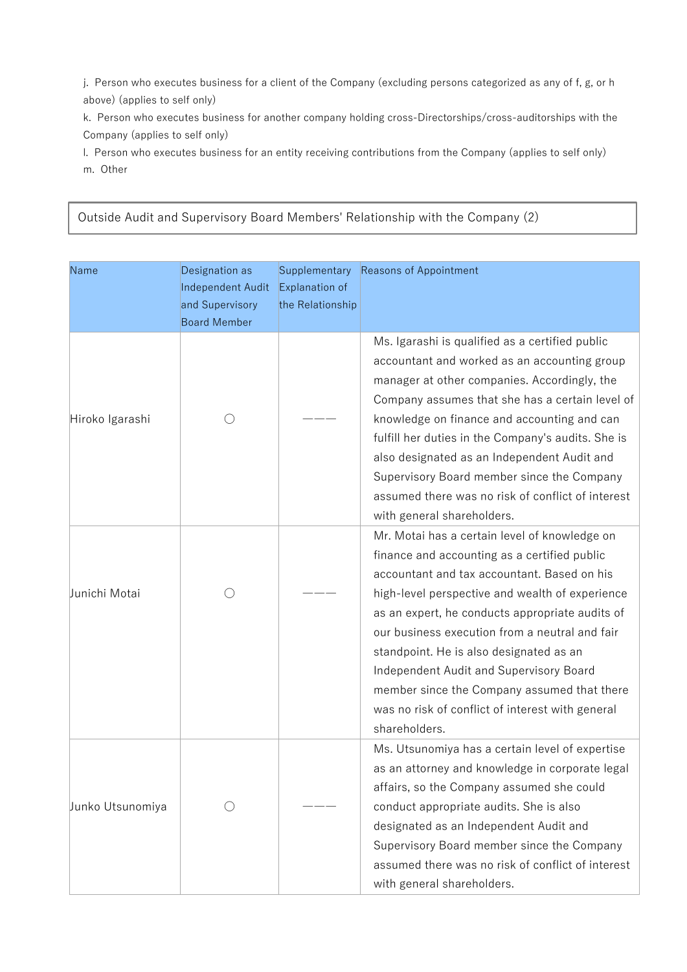j. Person who executes business for a client of the Company (excluding persons categorized as any of f, g, or h above) (applies to self only)

k. Person who executes business for another company holding cross-Directorships/cross-auditorships with the Company (applies to self only)

l. Person who executes business for an entity receiving contributions from the Company (applies to self only) m. Other

Outside Audit and Supervisory Board Members' Relationship with the Company (2)

| Name             | Designation as<br>Independent Audit<br>and Supervisory<br><b>Board Member</b> | Supplementary<br>Explanation of<br>the Relationship | Reasons of Appointment                                                                                                                                                                                                                                                                                                                                                                                                                                                                                         |
|------------------|-------------------------------------------------------------------------------|-----------------------------------------------------|----------------------------------------------------------------------------------------------------------------------------------------------------------------------------------------------------------------------------------------------------------------------------------------------------------------------------------------------------------------------------------------------------------------------------------------------------------------------------------------------------------------|
| Hiroko Igarashi  |                                                                               |                                                     | Ms. Igarashi is qualified as a certified public<br>accountant and worked as an accounting group<br>manager at other companies. Accordingly, the<br>Company assumes that she has a certain level of<br>knowledge on finance and accounting and can<br>fulfill her duties in the Company's audits. She is<br>also designated as an Independent Audit and<br>Supervisory Board member since the Company<br>assumed there was no risk of conflict of interest<br>with general shareholders.                        |
| Junichi Motai    |                                                                               |                                                     | Mr. Motai has a certain level of knowledge on<br>finance and accounting as a certified public<br>accountant and tax accountant. Based on his<br>high-level perspective and wealth of experience<br>as an expert, he conducts appropriate audits of<br>our business execution from a neutral and fair<br>standpoint. He is also designated as an<br>Independent Audit and Supervisory Board<br>member since the Company assumed that there<br>was no risk of conflict of interest with general<br>shareholders. |
| Junko Utsunomiya |                                                                               |                                                     | Ms. Utsunomiya has a certain level of expertise<br>as an attorney and knowledge in corporate legal<br>affairs, so the Company assumed she could<br>conduct appropriate audits. She is also<br>designated as an Independent Audit and<br>Supervisory Board member since the Company<br>assumed there was no risk of conflict of interest<br>with general shareholders.                                                                                                                                          |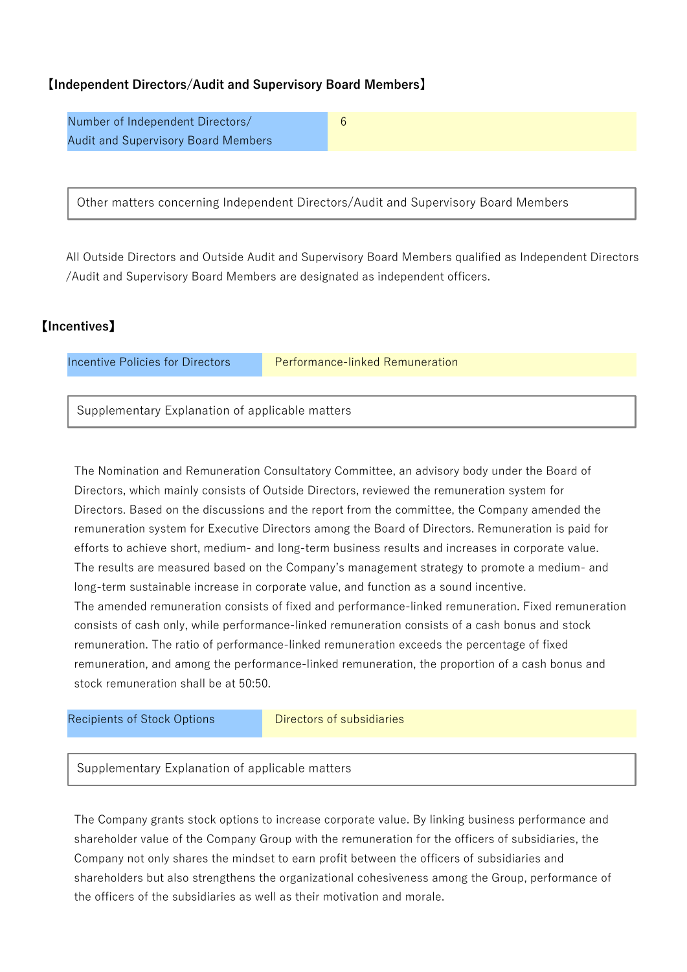## 【**Independent Directors/Audit and Supervisory Board Members**】

Number of Independent Directors/ Audit and Supervisory Board Members 6

Other matters concerning Independent Directors/Audit and Supervisory Board Members

All Outside Directors and Outside Audit and Supervisory Board Members qualified as Independent Directors /Audit and Supervisory Board Members are designated as independent officers.

## 【**Incentives**】

Incentive Policies for Directors **Performance-linked Remuneration** 

Supplementary Explanation of applicable matters

The Nomination and Remuneration Consultatory Committee, an advisory body under the Board of Directors, which mainly consists of Outside Directors, reviewed the remuneration system for Directors. Based on the discussions and the report from the committee, the Company amended the remuneration system for Executive Directors among the Board of Directors. Remuneration is paid for efforts to achieve short, medium- and long-term business results and increases in corporate value. The results are measured based on the Company's management strategy to promote a medium- and long-term sustainable increase in corporate value, and function as a sound incentive. The amended remuneration consists of fixed and performance-linked remuneration. Fixed remuneration consists of cash only, while performance-linked remuneration consists of a cash bonus and stock remuneration. The ratio of performance-linked remuneration exceeds the percentage of fixed remuneration, and among the performance-linked remuneration, the proportion of a cash bonus and stock remuneration shall be at 50:50.

Recipients of Stock Options **Directors of subsidiaries** 

Supplementary Explanation of applicable matters

The Company grants stock options to increase corporate value. By linking business performance and shareholder value of the Company Group with the remuneration for the officers of subsidiaries, the Company not only shares the mindset to earn profit between the officers of subsidiaries and shareholders but also strengthens the organizational cohesiveness among the Group, performance of the officers of the subsidiaries as well as their motivation and morale.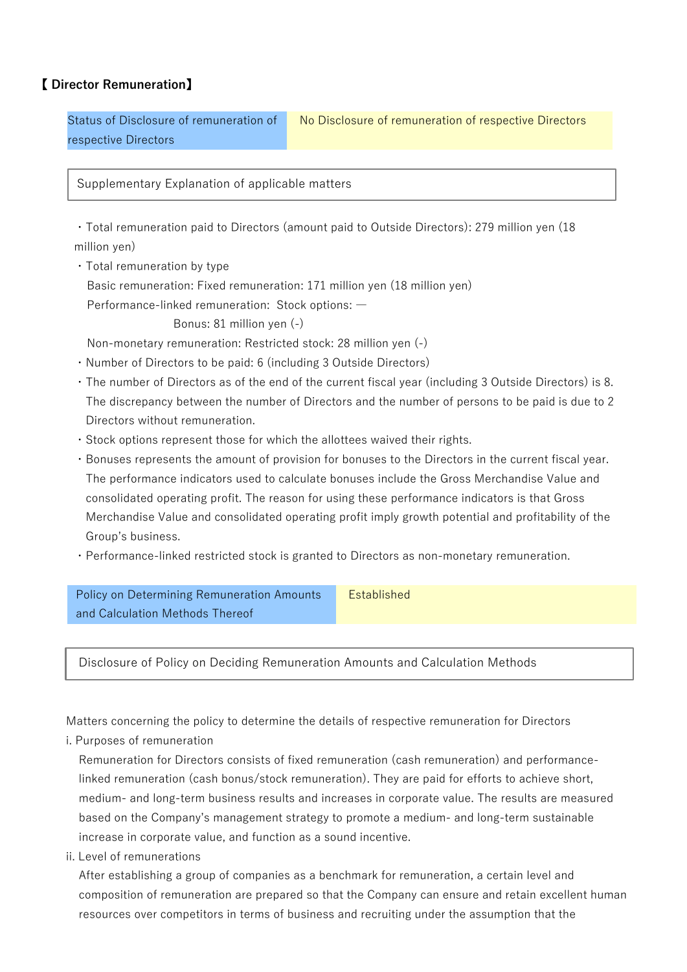## 【 **Director Remuneration**】

Status of Disclosure of remuneration of respective Directors No Disclosure of remuneration of respective Directors

Supplementary Explanation of applicable matters

・Total remuneration paid to Directors (amount paid to Outside Directors): 279 million yen (18 million yen)

- ・Total remuneration by type
	- Basic remuneration: Fixed remuneration: 171 million yen (18 million yen)

Performance-linked remuneration: Stock options: ―

Bonus: 81 million yen (-)

Non-monetary remuneration: Restricted stock: 28 million yen (-)

- ・Number of Directors to be paid: 6 (including 3 Outside Directors)
- ・The number of Directors as of the end of the current fiscal year (including 3 Outside Directors) is 8. The discrepancy between the number of Directors and the number of persons to be paid is due to 2 Directors without remuneration.
- ・Stock options represent those for which the allottees waived their rights.
- ・Bonuses represents the amount of provision for bonuses to the Directors in the current fiscal year. The performance indicators used to calculate bonuses include the Gross Merchandise Value and consolidated operating profit. The reason for using these performance indicators is that Gross Merchandise Value and consolidated operating profit imply growth potential and profitability of the Group's business.
- ・Performance-linked restricted stock is granted to Directors as non-monetary remuneration.

Policy on Determining Remuneration Amounts and Calculation Methods Thereof **Established** 

Disclosure of Policy on Deciding Remuneration Amounts and Calculation Methods

Matters concerning the policy to determine the details of respective remuneration for Directors

i. Purposes of remuneration

Remuneration for Directors consists of fixed remuneration (cash remuneration) and performancelinked remuneration (cash bonus/stock remuneration). They are paid for efforts to achieve short, medium- and long-term business results and increases in corporate value. The results are measured based on the Company's management strategy to promote a medium- and long-term sustainable increase in corporate value, and function as a sound incentive.

ii. Level of remunerations

After establishing a group of companies as a benchmark for remuneration, a certain level and composition of remuneration are prepared so that the Company can ensure and retain excellent human resources over competitors in terms of business and recruiting under the assumption that the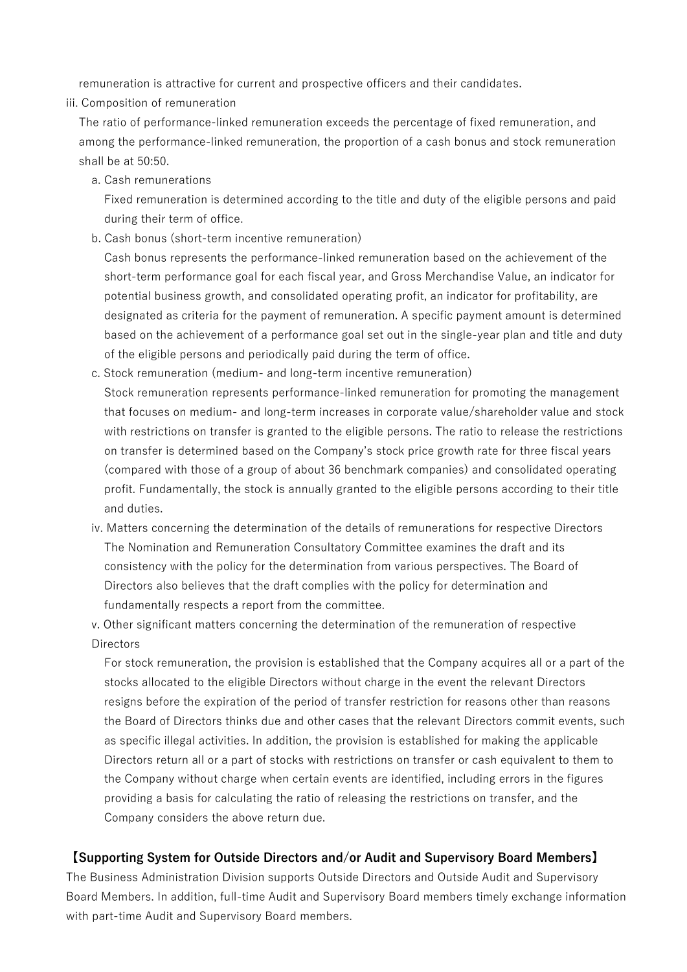remuneration is attractive for current and prospective officers and their candidates.

iii. Composition of remuneration

The ratio of performance-linked remuneration exceeds the percentage of fixed remuneration, and among the performance-linked remuneration, the proportion of a cash bonus and stock remuneration shall be at 50:50.

a. Cash remunerations

Fixed remuneration is determined according to the title and duty of the eligible persons and paid during their term of office.

b. Cash bonus (short-term incentive remuneration)

Cash bonus represents the performance-linked remuneration based on the achievement of the short-term performance goal for each fiscal year, and Gross Merchandise Value, an indicator for potential business growth, and consolidated operating profit, an indicator for profitability, are designated as criteria for the payment of remuneration. A specific payment amount is determined based on the achievement of a performance goal set out in the single-year plan and title and duty of the eligible persons and periodically paid during the term of office.

- c. Stock remuneration (medium- and long-term incentive remuneration) Stock remuneration represents performance-linked remuneration for promoting the management that focuses on medium- and long-term increases in corporate value/shareholder value and stock with restrictions on transfer is granted to the eligible persons. The ratio to release the restrictions on transfer is determined based on the Company's stock price growth rate for three fiscal years (compared with those of a group of about 36 benchmark companies) and consolidated operating profit. Fundamentally, the stock is annually granted to the eligible persons according to their title and duties.
- iv. Matters concerning the determination of the details of remunerations for respective Directors The Nomination and Remuneration Consultatory Committee examines the draft and its consistency with the policy for the determination from various perspectives. The Board of Directors also believes that the draft complies with the policy for determination and fundamentally respects a report from the committee.
- v. Other significant matters concerning the determination of the remuneration of respective **Directors**

For stock remuneration, the provision is established that the Company acquires all or a part of the stocks allocated to the eligible Directors without charge in the event the relevant Directors resigns before the expiration of the period of transfer restriction for reasons other than reasons the Board of Directors thinks due and other cases that the relevant Directors commit events, such as specific illegal activities. In addition, the provision is established for making the applicable Directors return all or a part of stocks with restrictions on transfer or cash equivalent to them to the Company without charge when certain events are identified, including errors in the figures providing a basis for calculating the ratio of releasing the restrictions on transfer, and the Company considers the above return due.

#### **【Supporting System for Outside Directors and/or Audit and Supervisory Board Members】**

The Business Administration Division supports Outside Directors and Outside Audit and Supervisory Board Members. In addition, full-time Audit and Supervisory Board members timely exchange information with part-time Audit and Supervisory Board members.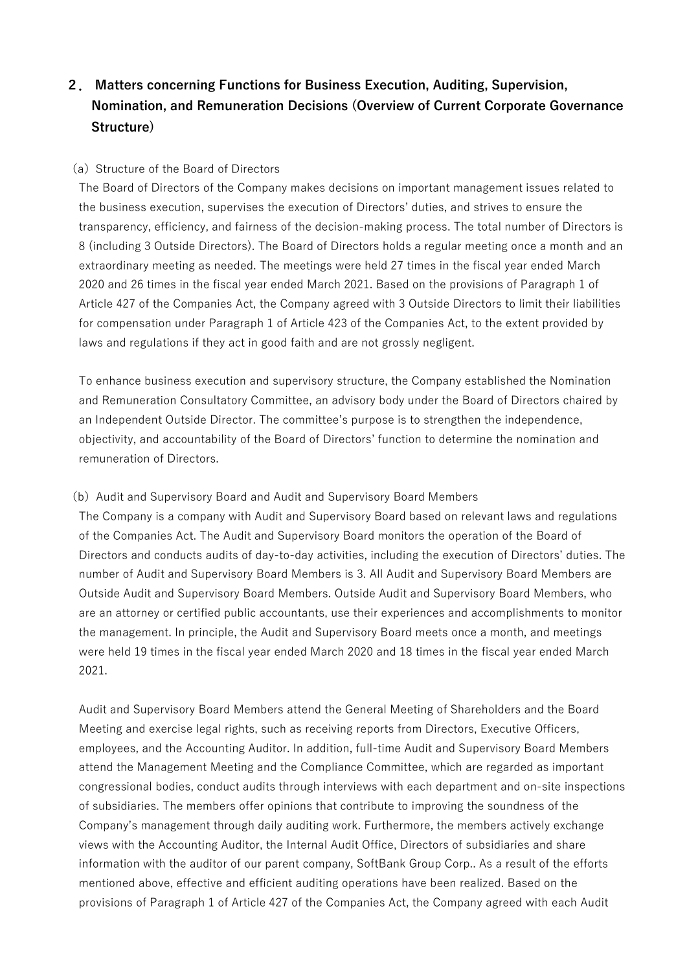# **2. Matters concerning Functions for Business Execution, Auditing, Supervision, Nomination, and Remuneration Decisions (Overview of Current Corporate Governance Structure)**

#### (a) Structure of the Board of Directors

The Board of Directors of the Company makes decisions on important management issues related to the business execution, supervises the execution of Directors' duties, and strives to ensure the transparency, efficiency, and fairness of the decision-making process. The total number of Directors is 8 (including 3 Outside Directors). The Board of Directors holds a regular meeting once a month and an extraordinary meeting as needed. The meetings were held 27 times in the fiscal year ended March 2020 and 26 times in the fiscal year ended March 2021. Based on the provisions of Paragraph 1 of Article 427 of the Companies Act, the Company agreed with 3 Outside Directors to limit their liabilities for compensation under Paragraph 1 of Article 423 of the Companies Act, to the extent provided by laws and regulations if they act in good faith and are not grossly negligent.

To enhance business execution and supervisory structure, the Company established the Nomination and Remuneration Consultatory Committee, an advisory body under the Board of Directors chaired by an Independent Outside Director. The committee's purpose is to strengthen the independence, objectivity, and accountability of the Board of Directors' function to determine the nomination and remuneration of Directors.

#### (b)Audit and Supervisory Board and Audit and Supervisory Board Members

The Company is a company with Audit and Supervisory Board based on relevant laws and regulations of the Companies Act. The Audit and Supervisory Board monitors the operation of the Board of Directors and conducts audits of day-to-day activities, including the execution of Directors' duties. The number of Audit and Supervisory Board Members is 3. All Audit and Supervisory Board Members are Outside Audit and Supervisory Board Members. Outside Audit and Supervisory Board Members, who are an attorney or certified public accountants, use their experiences and accomplishments to monitor the management. In principle, the Audit and Supervisory Board meets once a month, and meetings were held 19 times in the fiscal year ended March 2020 and 18 times in the fiscal year ended March 2021.

Audit and Supervisory Board Members attend the General Meeting of Shareholders and the Board Meeting and exercise legal rights, such as receiving reports from Directors, Executive Officers, employees, and the Accounting Auditor. In addition, full-time Audit and Supervisory Board Members attend the Management Meeting and the Compliance Committee, which are regarded as important congressional bodies, conduct audits through interviews with each department and on-site inspections of subsidiaries. The members offer opinions that contribute to improving the soundness of the Company's management through daily auditing work. Furthermore, the members actively exchange views with the Accounting Auditor, the Internal Audit Office, Directors of subsidiaries and share information with the auditor of our parent company, SoftBank Group Corp.. As a result of the efforts mentioned above, effective and efficient auditing operations have been realized. Based on the provisions of Paragraph 1 of Article 427 of the Companies Act, the Company agreed with each Audit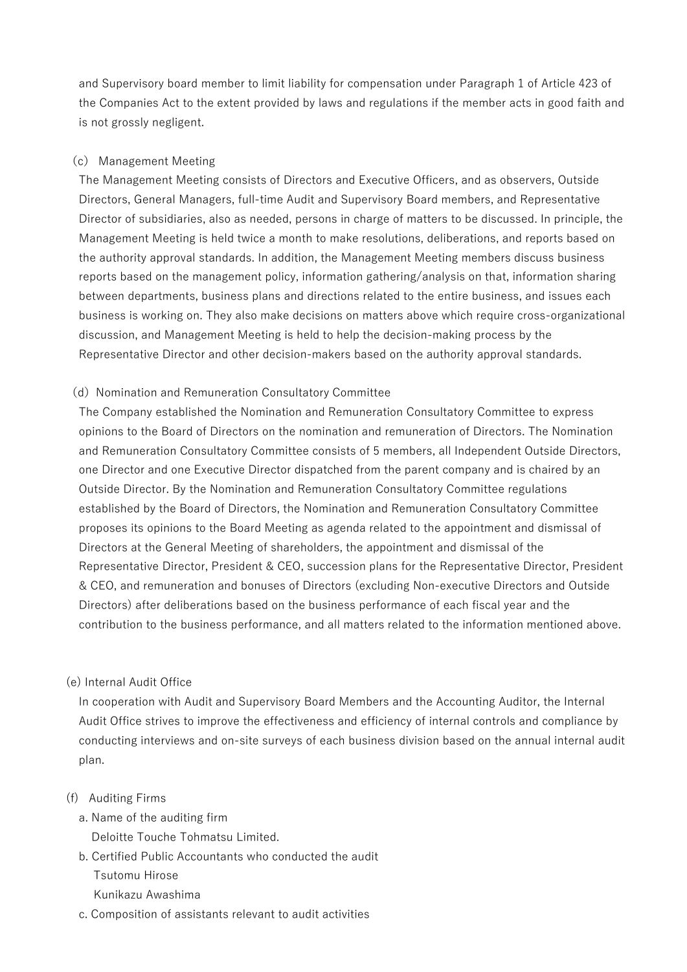and Supervisory board member to limit liability for compensation under Paragraph 1 of Article 423 of the Companies Act to the extent provided by laws and regulations if the member acts in good faith and is not grossly negligent.

#### (c) Management Meeting

The Management Meeting consists of Directors and Executive Officers, and as observers, Outside Directors, General Managers, full-time Audit and Supervisory Board members, and Representative Director of subsidiaries, also as needed, persons in charge of matters to be discussed. In principle, the Management Meeting is held twice a month to make resolutions, deliberations, and reports based on the authority approval standards. In addition, the Management Meeting members discuss business reports based on the management policy, information gathering/analysis on that, information sharing between departments, business plans and directions related to the entire business, and issues each business is working on. They also make decisions on matters above which require cross-organizational discussion, and Management Meeting is held to help the decision-making process by the Representative Director and other decision-makers based on the authority approval standards.

#### (d) Nomination and Remuneration Consultatory Committee

The Company established the Nomination and Remuneration Consultatory Committee to express opinions to the Board of Directors on the nomination and remuneration of Directors. The Nomination and Remuneration Consultatory Committee consists of 5 members, all Independent Outside Directors, one Director and one Executive Director dispatched from the parent company and is chaired by an Outside Director. By the Nomination and Remuneration Consultatory Committee regulations established by the Board of Directors, the Nomination and Remuneration Consultatory Committee proposes its opinions to the Board Meeting as agenda related to the appointment and dismissal of Directors at the General Meeting of shareholders, the appointment and dismissal of the Representative Director, President & CEO, succession plans for the Representative Director, President & CEO, and remuneration and bonuses of Directors (excluding Non-executive Directors and Outside Directors) after deliberations based on the business performance of each fiscal year and the contribution to the business performance, and all matters related to the information mentioned above.

#### (e) Internal Audit Office

In cooperation with Audit and Supervisory Board Members and the Accounting Auditor, the Internal Audit Office strives to improve the effectiveness and efficiency of internal controls and compliance by conducting interviews and on-site surveys of each business division based on the annual internal audit plan.

#### (f) Auditing Firms

- a. Name of the auditing firm
	- Deloitte Touche Tohmatsu Limited.
- b. Certified Public Accountants who conducted the audit Tsutomu Hirose Kunikazu Awashima
- c. Composition of assistants relevant to audit activities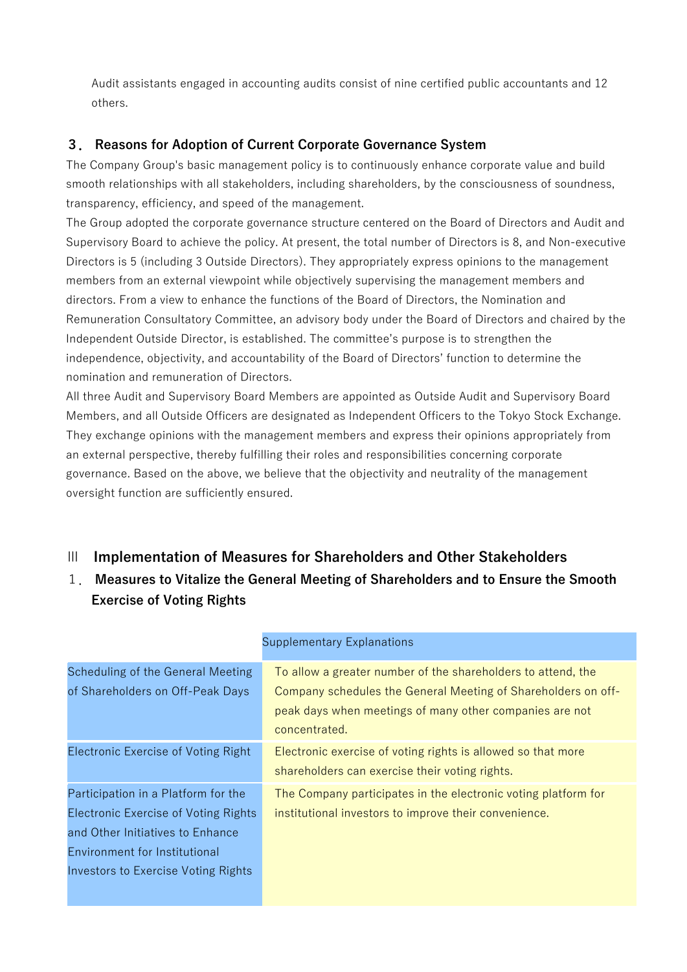Audit assistants engaged in accounting audits consist of nine certified public accountants and 12 others.

## **3. Reasons for Adoption of Current Corporate Governance System**

The Company Group's basic management policy is to continuously enhance corporate value and build smooth relationships with all stakeholders, including shareholders, by the consciousness of soundness, transparency, efficiency, and speed of the management.

The Group adopted the corporate governance structure centered on the Board of Directors and Audit and Supervisory Board to achieve the policy. At present, the total number of Directors is 8, and Non-executive Directors is 5 (including 3 Outside Directors). They appropriately express opinions to the management members from an external viewpoint while objectively supervising the management members and directors. From a view to enhance the functions of the Board of Directors, the Nomination and Remuneration Consultatory Committee, an advisory body under the Board of Directors and chaired by the Independent Outside Director, is established. The committee's purpose is to strengthen the independence, objectivity, and accountability of the Board of Directors' function to determine the nomination and remuneration of Directors.

All three Audit and Supervisory Board Members are appointed as Outside Audit and Supervisory Board Members, and all Outside Officers are designated as Independent Officers to the Tokyo Stock Exchange. They exchange opinions with the management members and express their opinions appropriately from an external perspective, thereby fulfilling their roles and responsibilities concerning corporate governance. Based on the above, we believe that the objectivity and neutrality of the management oversight function are sufficiently ensured.

# Ⅲ **Implementation of Measures for Shareholders and Other Stakeholders**

1. **Measures to Vitalize the General Meeting of Shareholders and to Ensure the Smooth Exercise of Voting Rights** 

| Scheduling of the General Meeting           | To allow a greater number of the shareholders to attend, the   |
|---------------------------------------------|----------------------------------------------------------------|
| of Shareholders on Off-Peak Days            | Company schedules the General Meeting of Shareholders on off-  |
|                                             | peak days when meetings of many other companies are not        |
|                                             | concentrated.                                                  |
| <b>Electronic Exercise of Voting Right</b>  | Electronic exercise of voting rights is allowed so that more   |
|                                             | shareholders can exercise their voting rights.                 |
| Participation in a Platform for the         | The Company participates in the electronic voting platform for |
| <b>Electronic Exercise of Voting Rights</b> | institutional investors to improve their convenience.          |
| and Other Initiatives to Enhance            |                                                                |
| Environment for Institutional               |                                                                |
| <b>Investors to Exercise Voting Rights</b>  |                                                                |
|                                             |                                                                |

#### Supplementary Explanations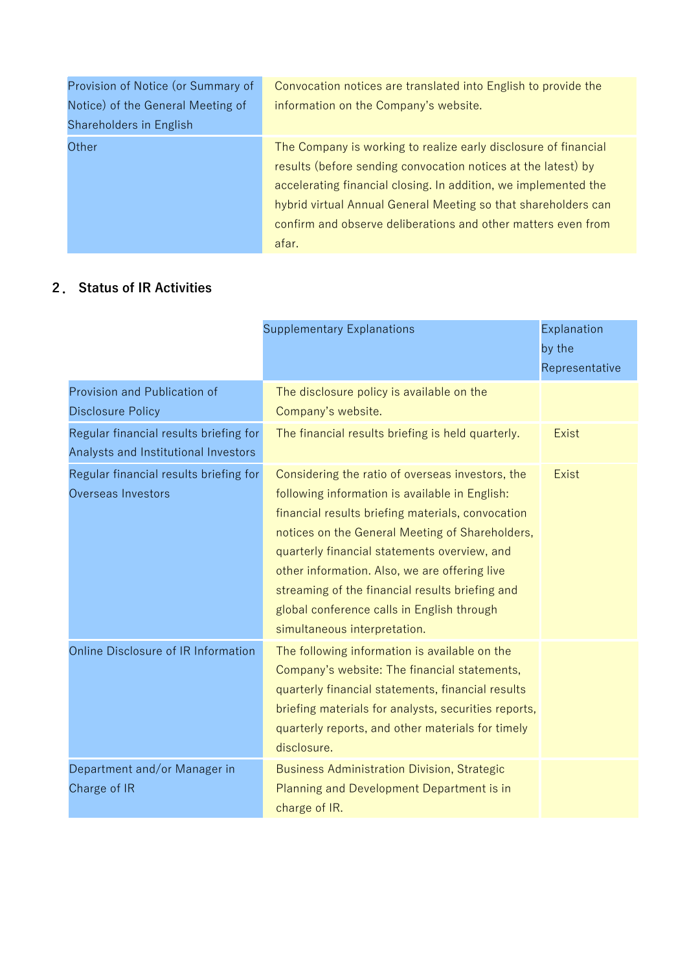| Provision of Notice (or Summary of | Convocation notices are translated into English to provide the  |
|------------------------------------|-----------------------------------------------------------------|
| Notice) of the General Meeting of  | information on the Company's website.                           |
| Shareholders in English            |                                                                 |
| Other                              | The Company is working to realize early disclosure of financial |
|                                    | results (before sending convocation notices at the latest) by   |
|                                    | accelerating financial closing. In addition, we implemented the |
|                                    | hybrid virtual Annual General Meeting so that shareholders can  |
|                                    | confirm and observe deliberations and other matters even from   |
|                                    | afar.                                                           |

# **2. Status of IR Activities**

|                                                                                | <b>Supplementary Explanations</b>                                                                                                                                                                                                                                                                                                                                                                                                            | Explanation<br>by the<br>Representative |
|--------------------------------------------------------------------------------|----------------------------------------------------------------------------------------------------------------------------------------------------------------------------------------------------------------------------------------------------------------------------------------------------------------------------------------------------------------------------------------------------------------------------------------------|-----------------------------------------|
| Provision and Publication of<br><b>Disclosure Policy</b>                       | The disclosure policy is available on the<br>Company's website.                                                                                                                                                                                                                                                                                                                                                                              |                                         |
| Regular financial results briefing for<br>Analysts and Institutional Investors | The financial results briefing is held quarterly.                                                                                                                                                                                                                                                                                                                                                                                            | <b>Exist</b>                            |
| Regular financial results briefing for<br>Overseas Investors                   | Considering the ratio of overseas investors, the<br>following information is available in English:<br>financial results briefing materials, convocation<br>notices on the General Meeting of Shareholders,<br>quarterly financial statements overview, and<br>other information. Also, we are offering live<br>streaming of the financial results briefing and<br>global conference calls in English through<br>simultaneous interpretation. | <b>Exist</b>                            |
| Online Disclosure of IR Information                                            | The following information is available on the<br>Company's website: The financial statements,<br>quarterly financial statements, financial results<br>briefing materials for analysts, securities reports,<br>quarterly reports, and other materials for timely<br>disclosure.                                                                                                                                                               |                                         |
| Department and/or Manager in<br>Charge of IR                                   | <b>Business Administration Division, Strategic</b><br>Planning and Development Department is in<br>charge of IR.                                                                                                                                                                                                                                                                                                                             |                                         |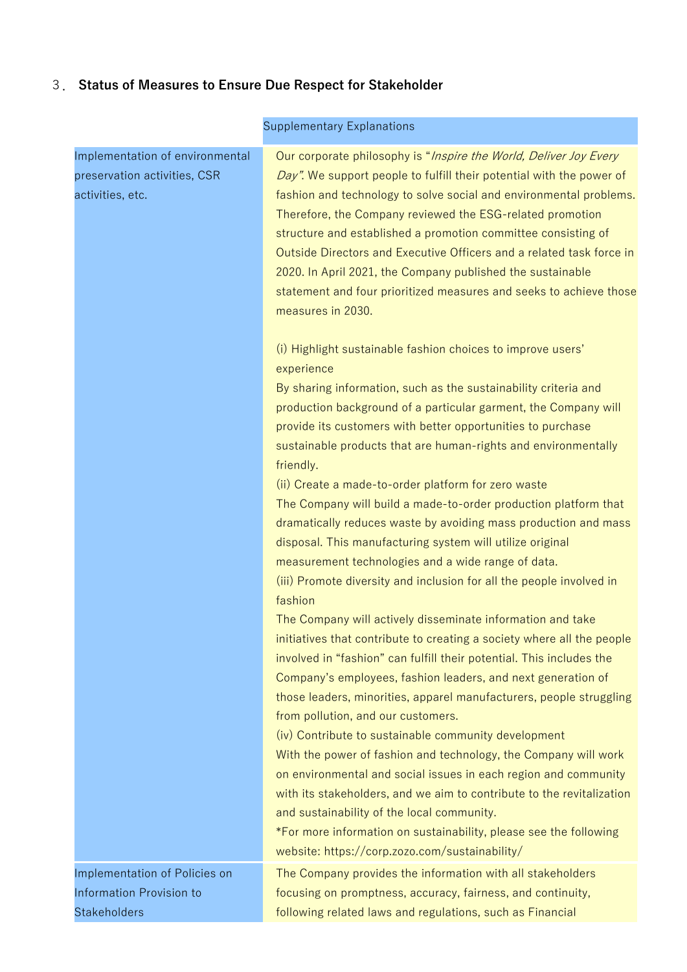# 3. **Status of Measures to Ensure Due Respect for Stakeholder**

| Our corporate philosophy is "Inspire the World, Deliver Joy Every<br>Day". We support people to fulfill their potential with the power of<br>fashion and technology to solve social and environmental problems.<br>Therefore, the Company reviewed the ESG-related promotion<br>structure and established a promotion committee consisting of<br>Outside Directors and Executive Officers and a related task force in<br>2020. In April 2021, the Company published the sustainable<br>statement and four prioritized measures and seeks to achieve those<br>measures in 2030.                                                                                                                                                                                                                                                        |
|---------------------------------------------------------------------------------------------------------------------------------------------------------------------------------------------------------------------------------------------------------------------------------------------------------------------------------------------------------------------------------------------------------------------------------------------------------------------------------------------------------------------------------------------------------------------------------------------------------------------------------------------------------------------------------------------------------------------------------------------------------------------------------------------------------------------------------------|
| (i) Highlight sustainable fashion choices to improve users'<br>experience<br>By sharing information, such as the sustainability criteria and<br>production background of a particular garment, the Company will<br>provide its customers with better opportunities to purchase<br>sustainable products that are human-rights and environmentally<br>friendly.<br>(ii) Create a made-to-order platform for zero waste<br>The Company will build a made-to-order production platform that<br>dramatically reduces waste by avoiding mass production and mass<br>disposal. This manufacturing system will utilize original<br>measurement technologies and a wide range of data.<br>(iii) Promote diversity and inclusion for all the people involved in<br>fashion                                                                      |
| The Company will actively disseminate information and take<br>initiatives that contribute to creating a society where all the people<br>involved in "fashion" can fulfill their potential. This includes the<br>Company's employees, fashion leaders, and next generation of<br>those leaders, minorities, apparel manufacturers, people struggling<br>from pollution, and our customers.<br>(iv) Contribute to sustainable community development<br>With the power of fashion and technology, the Company will work<br>on environmental and social issues in each region and community<br>with its stakeholders, and we aim to contribute to the revitalization<br>and sustainability of the local community.<br>*For more information on sustainability, please see the following<br>website: https://corp.zozo.com/sustainability/ |
| The Company provides the information with all stakeholders<br>focusing on promptness, accuracy, fairness, and continuity,<br>following related laws and regulations, such as Financial                                                                                                                                                                                                                                                                                                                                                                                                                                                                                                                                                                                                                                                |
|                                                                                                                                                                                                                                                                                                                                                                                                                                                                                                                                                                                                                                                                                                                                                                                                                                       |

# Supplementary Explanations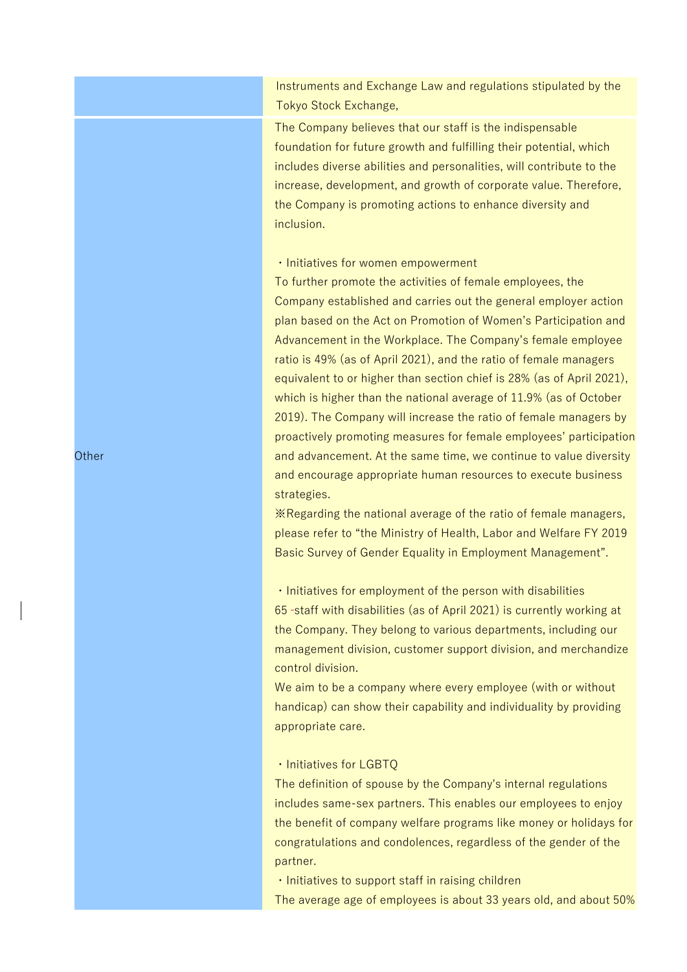Instruments and Exchange Law and regulations stipulated by the Tokyo Stock Exchange,

The Company believes that our staff is the indispensable foundation for future growth and fulfilling their potential, which includes diverse abilities and personalities, will contribute to the increase, development, and growth of corporate value. Therefore, the Company is promoting actions to enhance diversity and inclusion.

#### ・Initiatives for women empowerment

To further promote the activities of female employees, the Company established and carries out the general employer action plan based on the Act on Promotion of Women's Participation and Advancement in the Workplace. The Company's female employee ratio is 49% (as of April 2021), and the ratio of female managers equivalent to or higher than section chief is 28% (as of April 2021), which is higher than the national average of 11.9% (as of October 2019). The Company will increase the ratio of female managers by proactively promoting measures for female employees' participation and advancement. At the same time, we continue to value diversity and encourage appropriate human resources to execute business strategies.

※Regarding the national average of the ratio of female managers, please refer to "the Ministry of Health, Labor and Welfare FY 2019 Basic Survey of Gender Equality in Employment Management".

・Initiatives for employment of the person with disabilities 65 staff with disabilities (as of April 2021) is currently working at the Company. They belong to various departments, including our management division, customer support division, and merchandize control division.

We aim to be a company where every employee (with or without handicap) can show their capability and individuality by providing appropriate care.

#### ・Initiatives for LGBTQ

The definition of spouse by the Company's internal regulations includes same-sex partners. This enables our employees to enjoy the benefit of company welfare programs like money or holidays for congratulations and condolences, regardless of the gender of the partner.

・Initiatives to support staff in raising children The average age of employees is about 33 years old, and about 50%

**Other**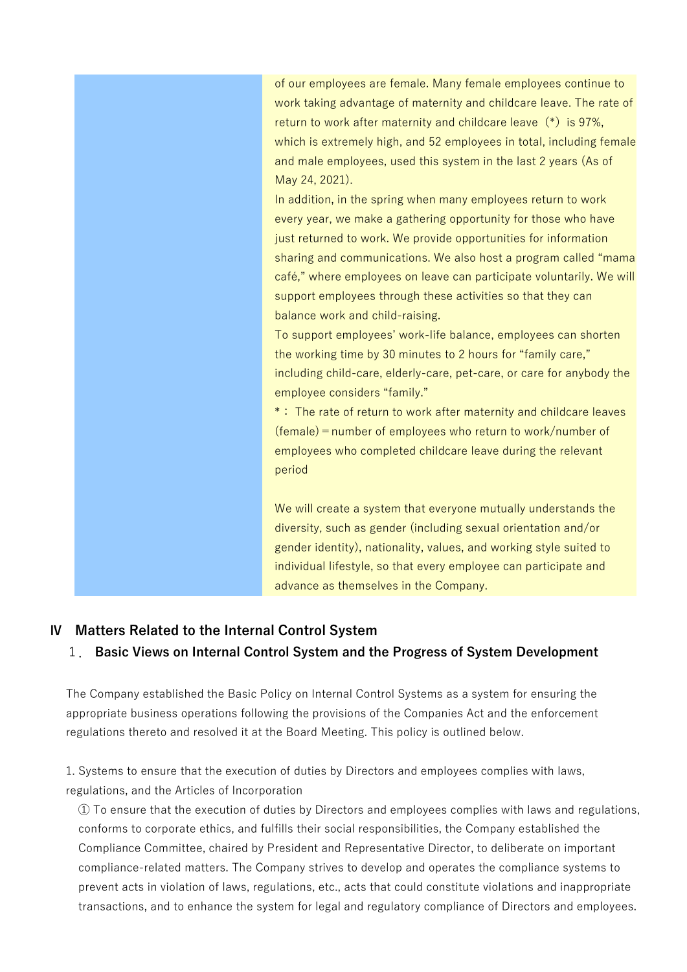of our employees are female. Many female employees continue to work taking advantage of maternity and childcare leave. The rate of return to work after maternity and childcare leave  $(*)$  is 97%, which is extremely high, and 52 employees in total, including female and male employees, used this system in the last 2 years (As of May 24, 2021).

In addition, in the spring when many employees return to work every year, we make a gathering opportunity for those who have just returned to work. We provide opportunities for information sharing and communications. We also host a program called "mama café," where employees on leave can participate voluntarily. We will support employees through these activities so that they can balance work and child-raising.

To support employees' work-life balance, employees can shorten the working time by 30 minutes to 2 hours for "family care," including child-care, elderly-care, pet-care, or care for anybody the employee considers "family."

\*: The rate of return to work after maternity and childcare leaves  $(female)$  = number of employees who return to work/number of employees who completed childcare leave during the relevant period

We will create a system that everyone mutually understands the diversity, such as gender (including sexual orientation and/or gender identity), nationality, values, and working style suited to individual lifestyle, so that every employee can participate and advance as themselves in the Company.

#### **Ⅳ Matters Related to the Internal Control System**

#### 1. **Basic Views on Internal Control System and the Progress of System Development**

The Company established the Basic Policy on Internal Control Systems as a system for ensuring the appropriate business operations following the provisions of the Companies Act and the enforcement regulations thereto and resolved it at the Board Meeting. This policy is outlined below.

1. Systems to ensure that the execution of duties by Directors and employees complies with laws, regulations, and the Articles of Incorporation

① To ensure that the execution of duties by Directors and employees complies with laws and regulations, conforms to corporate ethics, and fulfills their social responsibilities, the Company established the Compliance Committee, chaired by President and Representative Director, to deliberate on important compliance-related matters. The Company strives to develop and operates the compliance systems to prevent acts in violation of laws, regulations, etc., acts that could constitute violations and inappropriate transactions, and to enhance the system for legal and regulatory compliance of Directors and employees.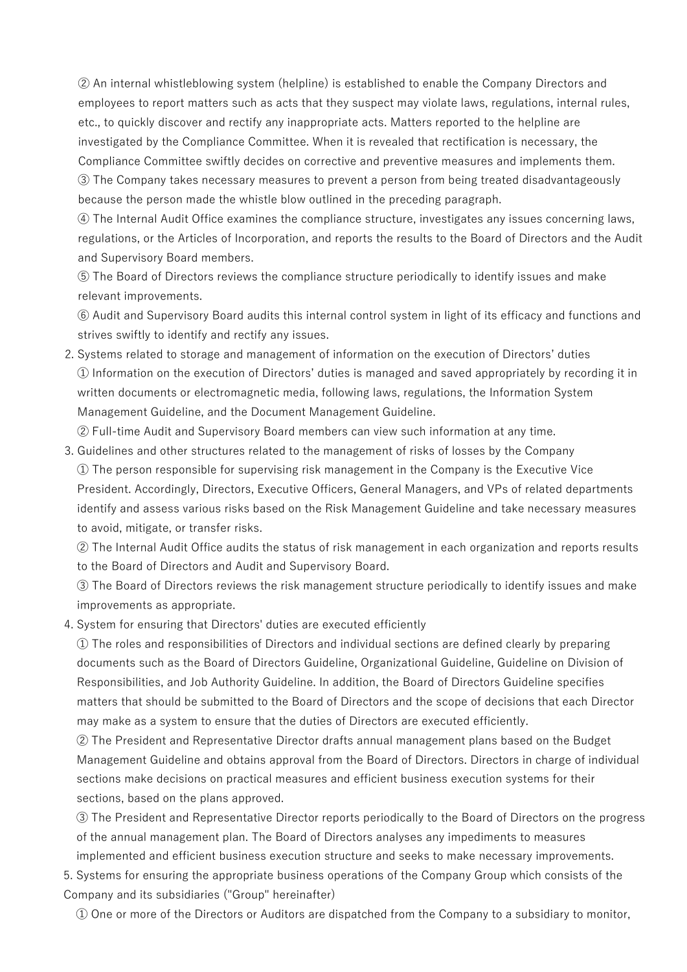② An internal whistleblowing system (helpline) is established to enable the Company Directors and employees to report matters such as acts that they suspect may violate laws, regulations, internal rules, etc., to quickly discover and rectify any inappropriate acts. Matters reported to the helpline are investigated by the Compliance Committee. When it is revealed that rectification is necessary, the Compliance Committee swiftly decides on corrective and preventive measures and implements them. ③ The Company takes necessary measures to prevent a person from being treated disadvantageously because the person made the whistle blow outlined in the preceding paragraph.

④ The Internal Audit Office examines the compliance structure, investigates any issues concerning laws, regulations, or the Articles of Incorporation, and reports the results to the Board of Directors and the Audit and Supervisory Board members.

⑤ The Board of Directors reviews the compliance structure periodically to identify issues and make relevant improvements.

⑥ Audit and Supervisory Board audits this internal control system in light of its efficacy and functions and strives swiftly to identify and rectify any issues.

2. Systems related to storage and management of information on the execution of Directors' duties ① Information on the execution of Directors' duties is managed and saved appropriately by recording it in written documents or electromagnetic media, following laws, regulations, the Information System Management Guideline, and the Document Management Guideline.

② Full-time Audit and Supervisory Board members can view such information at any time.

3. Guidelines and other structures related to the management of risks of losses by the Company ① The person responsible for supervising risk management in the Company is the Executive Vice President. Accordingly, Directors, Executive Officers, General Managers, and VPs of related departments identify and assess various risks based on the Risk Management Guideline and take necessary measures to avoid, mitigate, or transfer risks.

② The Internal Audit Office audits the status of risk management in each organization and reports results to the Board of Directors and Audit and Supervisory Board.

③ The Board of Directors reviews the risk management structure periodically to identify issues and make improvements as appropriate.

4. System for ensuring that Directors' duties are executed efficiently

① The roles and responsibilities of Directors and individual sections are defined clearly by preparing documents such as the Board of Directors Guideline, Organizational Guideline, Guideline on Division of Responsibilities, and Job Authority Guideline. In addition, the Board of Directors Guideline specifies matters that should be submitted to the Board of Directors and the scope of decisions that each Director may make as a system to ensure that the duties of Directors are executed efficiently.

② The President and Representative Director drafts annual management plans based on the Budget Management Guideline and obtains approval from the Board of Directors. Directors in charge of individual sections make decisions on practical measures and efficient business execution systems for their sections, based on the plans approved.

③ The President and Representative Director reports periodically to the Board of Directors on the progress of the annual management plan. The Board of Directors analyses any impediments to measures implemented and efficient business execution structure and seeks to make necessary improvements.

5. Systems for ensuring the appropriate business operations of the Company Group which consists of the Company and its subsidiaries ("Group" hereinafter)

① One or more of the Directors or Auditors are dispatched from the Company to a subsidiary to monitor,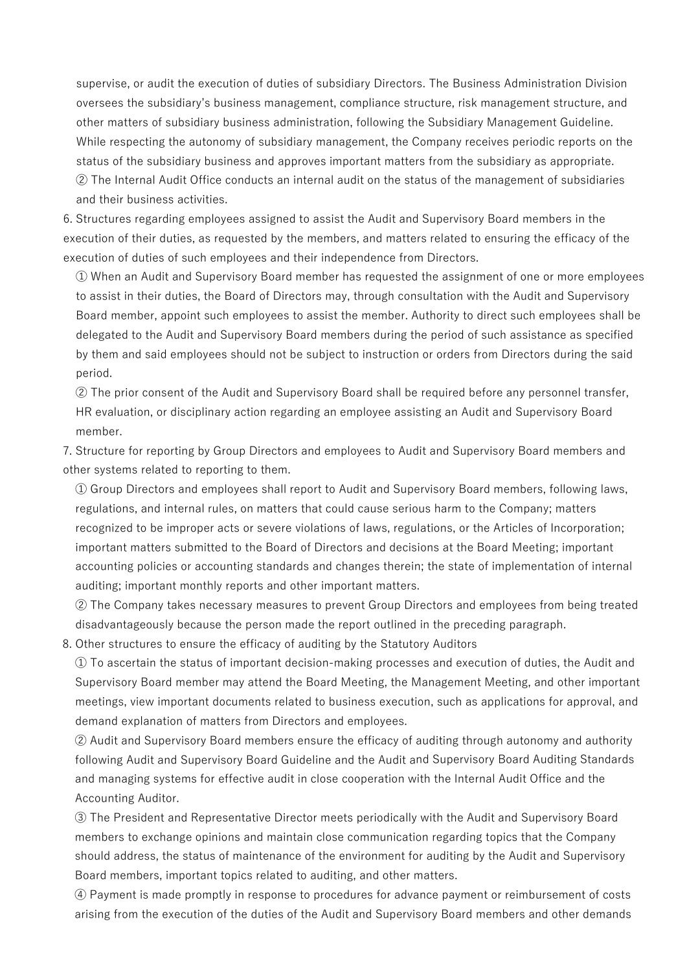supervise, or audit the execution of duties of subsidiary Directors. The Business Administration Division oversees the subsidiary's business management, compliance structure, risk management structure, and other matters of subsidiary business administration, following the Subsidiary Management Guideline. While respecting the autonomy of subsidiary management, the Company receives periodic reports on the status of the subsidiary business and approves important matters from the subsidiary as appropriate. ② The Internal Audit Office conducts an internal audit on the status of the management of subsidiaries and their business activities.

6. Structures regarding employees assigned to assist the Audit and Supervisory Board members in the execution of their duties, as requested by the members, and matters related to ensuring the efficacy of the execution of duties of such employees and their independence from Directors.

① When an Audit and Supervisory Board member has requested the assignment of one or more employees to assist in their duties, the Board of Directors may, through consultation with the Audit and Supervisory Board member, appoint such employees to assist the member. Authority to direct such employees shall be delegated to the Audit and Supervisory Board members during the period of such assistance as specified by them and said employees should not be subject to instruction or orders from Directors during the said period.

② The prior consent of the Audit and Supervisory Board shall be required before any personnel transfer, HR evaluation, or disciplinary action regarding an employee assisting an Audit and Supervisory Board member.

7. Structure for reporting by Group Directors and employees to Audit and Supervisory Board members and other systems related to reporting to them.

① Group Directors and employees shall report to Audit and Supervisory Board members, following laws, regulations, and internal rules, on matters that could cause serious harm to the Company; matters recognized to be improper acts or severe violations of laws, regulations, or the Articles of Incorporation; important matters submitted to the Board of Directors and decisions at the Board Meeting; important accounting policies or accounting standards and changes therein; the state of implementation of internal auditing; important monthly reports and other important matters.

② The Company takes necessary measures to prevent Group Directors and employees from being treated disadvantageously because the person made the report outlined in the preceding paragraph.

8. Other structures to ensure the efficacy of auditing by the Statutory Auditors

① To ascertain the status of important decision-making processes and execution of duties, the Audit and Supervisory Board member may attend the Board Meeting, the Management Meeting, and other important meetings, view important documents related to business execution, such as applications for approval, and demand explanation of matters from Directors and employees.

② Audit and Supervisory Board members ensure the efficacy of auditing through autonomy and authority following Audit and Supervisory Board Guideline and the Audit and Supervisory Board Auditing Standards and managing systems for effective audit in close cooperation with the Internal Audit Office and the Accounting Auditor.

③ The President and Representative Director meets periodically with the Audit and Supervisory Board members to exchange opinions and maintain close communication regarding topics that the Company should address, the status of maintenance of the environment for auditing by the Audit and Supervisory Board members, important topics related to auditing, and other matters.

④ Payment is made promptly in response to procedures for advance payment or reimbursement of costs arising from the execution of the duties of the Audit and Supervisory Board members and other demands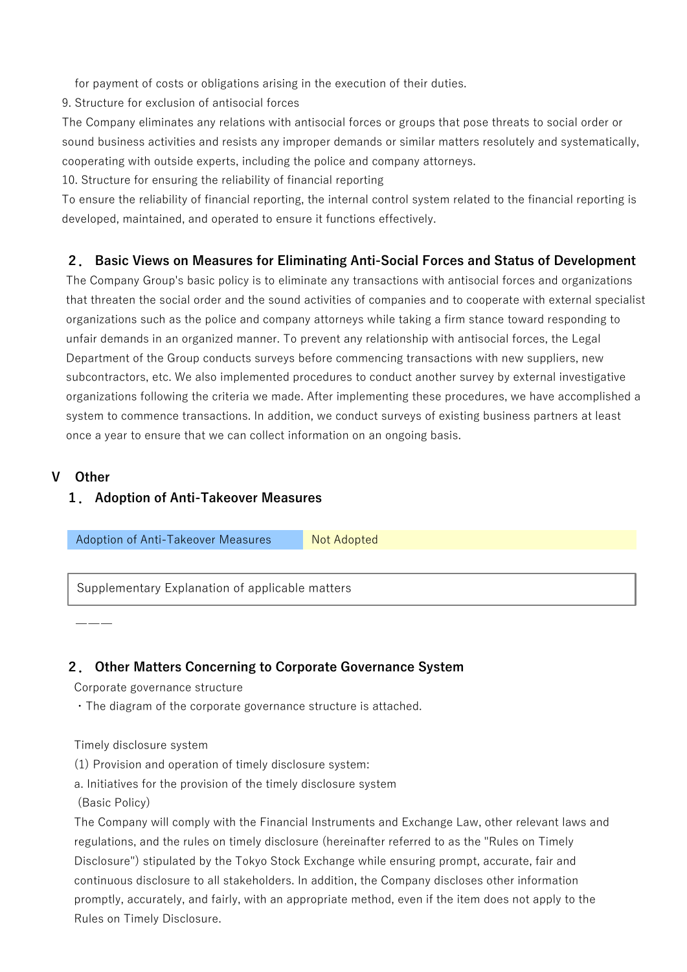for payment of costs or obligations arising in the execution of their duties.

9. Structure for exclusion of antisocial forces

The Company eliminates any relations with antisocial forces or groups that pose threats to social order or sound business activities and resists any improper demands or similar matters resolutely and systematically, cooperating with outside experts, including the police and company attorneys.

10. Structure for ensuring the reliability of financial reporting

To ensure the reliability of financial reporting, the internal control system related to the financial reporting is developed, maintained, and operated to ensure it functions effectively.

## **2. Basic Views on Measures for Eliminating Anti-Social Forces and Status of Development**

The Company Group's basic policy is to eliminate any transactions with antisocial forces and organizations that threaten the social order and the sound activities of companies and to cooperate with external specialist organizations such as the police and company attorneys while taking a firm stance toward responding to unfair demands in an organized manner. To prevent any relationship with antisocial forces, the Legal Department of the Group conducts surveys before commencing transactions with new suppliers, new subcontractors, etc. We also implemented procedures to conduct another survey by external investigative organizations following the criteria we made. After implementing these procedures, we have accomplished a system to commence transactions. In addition, we conduct surveys of existing business partners at least once a year to ensure that we can collect information on an ongoing basis.

## **Ⅴ Other**

―――

## **1. Adoption of Anti-Takeover Measures**

Adoption of Anti-Takeover Measures Not Adopted

Supplementary Explanation of applicable matters

## **2. Other Matters Concerning to Corporate Governance System**

Corporate governance structure

・The diagram of the corporate governance structure is attached.

Timely disclosure system

(1) Provision and operation of timely disclosure system:

a. Initiatives for the provision of the timely disclosure system

(Basic Policy)

The Company will comply with the Financial Instruments and Exchange Law, other relevant laws and regulations, and the rules on timely disclosure (hereinafter referred to as the "Rules on Timely Disclosure") stipulated by the Tokyo Stock Exchange while ensuring prompt, accurate, fair and continuous disclosure to all stakeholders. In addition, the Company discloses other information promptly, accurately, and fairly, with an appropriate method, even if the item does not apply to the Rules on Timely Disclosure.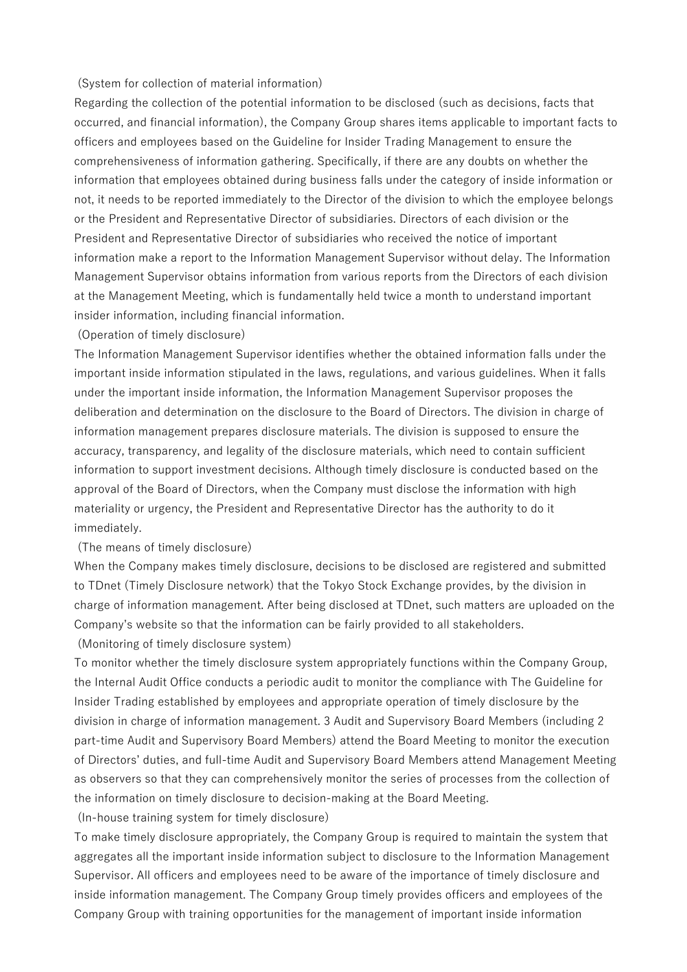#### (System for collection of material information)

Regarding the collection of the potential information to be disclosed (such as decisions, facts that occurred, and financial information), the Company Group shares items applicable to important facts to officers and employees based on the Guideline for Insider Trading Management to ensure the comprehensiveness of information gathering. Specifically, if there are any doubts on whether the information that employees obtained during business falls under the category of inside information or not, it needs to be reported immediately to the Director of the division to which the employee belongs or the President and Representative Director of subsidiaries. Directors of each division or the President and Representative Director of subsidiaries who received the notice of important information make a report to the Information Management Supervisor without delay. The Information Management Supervisor obtains information from various reports from the Directors of each division at the Management Meeting, which is fundamentally held twice a month to understand important insider information, including financial information.

#### (Operation of timely disclosure)

The Information Management Supervisor identifies whether the obtained information falls under the important inside information stipulated in the laws, regulations, and various guidelines. When it falls under the important inside information, the Information Management Supervisor proposes the deliberation and determination on the disclosure to the Board of Directors. The division in charge of information management prepares disclosure materials. The division is supposed to ensure the accuracy, transparency, and legality of the disclosure materials, which need to contain sufficient information to support investment decisions. Although timely disclosure is conducted based on the approval of the Board of Directors, when the Company must disclose the information with high materiality or urgency, the President and Representative Director has the authority to do it immediately.

#### (The means of timely disclosure)

When the Company makes timely disclosure, decisions to be disclosed are registered and submitted to TDnet (Timely Disclosure network) that the Tokyo Stock Exchange provides, by the division in charge of information management. After being disclosed at TDnet, such matters are uploaded on the Company's website so that the information can be fairly provided to all stakeholders.

(Monitoring of timely disclosure system)

To monitor whether the timely disclosure system appropriately functions within the Company Group, the Internal Audit Office conducts a periodic audit to monitor the compliance with The Guideline for Insider Trading established by employees and appropriate operation of timely disclosure by the division in charge of information management. 3 Audit and Supervisory Board Members (including 2 part-time Audit and Supervisory Board Members) attend the Board Meeting to monitor the execution of Directors' duties, and full-time Audit and Supervisory Board Members attend Management Meeting as observers so that they can comprehensively monitor the series of processes from the collection of the information on timely disclosure to decision-making at the Board Meeting.

(In-house training system for timely disclosure)

To make timely disclosure appropriately, the Company Group is required to maintain the system that aggregates all the important inside information subject to disclosure to the Information Management Supervisor. All officers and employees need to be aware of the importance of timely disclosure and inside information management. The Company Group timely provides officers and employees of the Company Group with training opportunities for the management of important inside information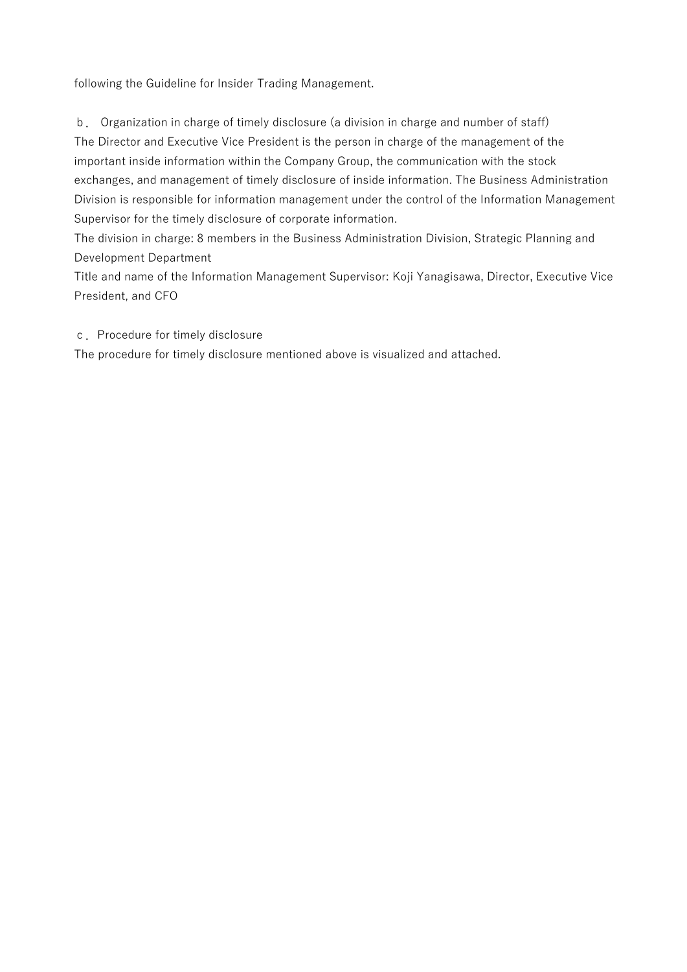following the Guideline for Insider Trading Management.

b. Organization in charge of timely disclosure (a division in charge and number of staff) The Director and Executive Vice President is the person in charge of the management of the important inside information within the Company Group, the communication with the stock exchanges, and management of timely disclosure of inside information. The Business Administration Division is responsible for information management under the control of the Information Management Supervisor for the timely disclosure of corporate information.

The division in charge: 8 members in the Business Administration Division, Strategic Planning and Development Department

Title and name of the Information Management Supervisor: Koji Yanagisawa, Director, Executive Vice President, and CFO

c.Procedure for timely disclosure

The procedure for timely disclosure mentioned above is visualized and attached.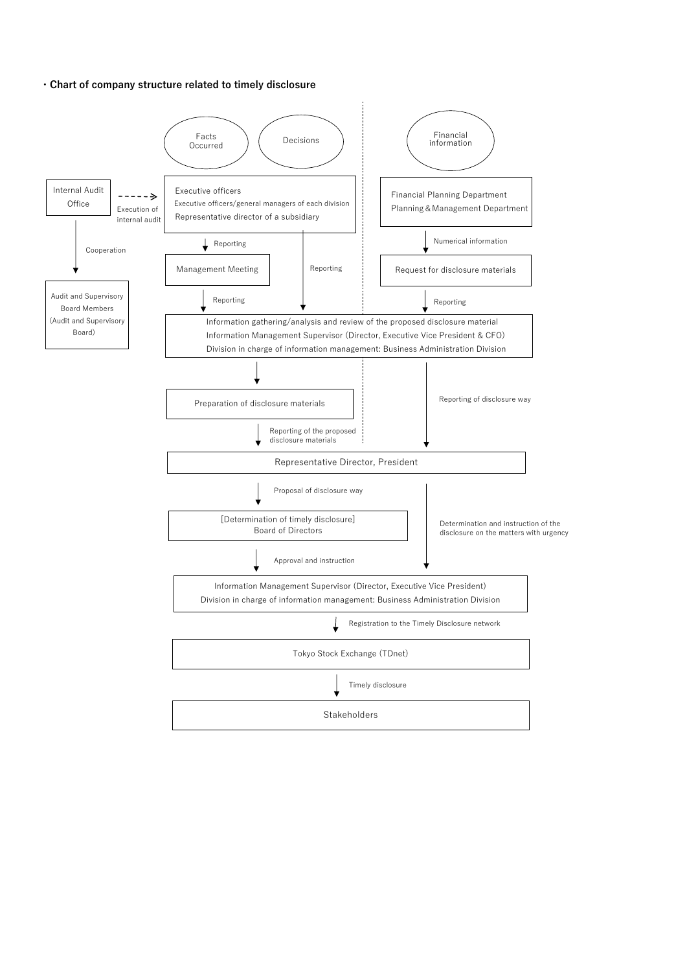#### **・Chart of company structure related to timely disclosure**